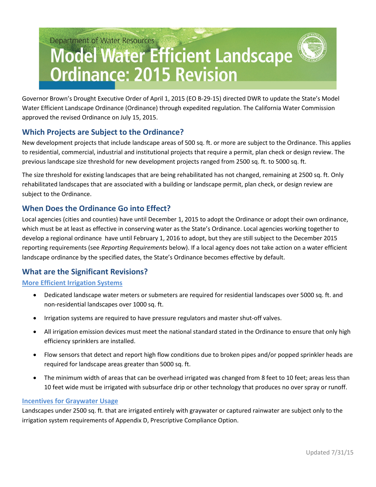# Department of Water Resources **Model Water Efficient Landscape Ordinance: 2015 Revision**

Governor Brown's Drought Executive Order of April 1, 2015 (EO B-29-15) directed DWR to update the State's Model Water Efficient Landscape Ordinance (Ordinance) through expedited regulation. The California Water Commission approved the revised Ordinance on July 15, 2015.

# **Which Projects are Subject to the Ordinance?**

New development projects that include landscape areas of 500 sq. ft. or more are subject to the Ordinance. This applies to residential, commercial, industrial and institutional projects that require a permit, plan check or design review. The previous landscape size threshold for new development projects ranged from 2500 sq. ft. to 5000 sq. ft.

The size threshold for existing landscapes that are being rehabilitated has not changed, remaining at 2500 sq. ft. Only rehabilitated landscapes that are associated with a building or landscape permit, plan check, or design review are subject to the Ordinance.

# **When Does the Ordinance Go into Effect?**

Local agencies (cities and counties) have until December 1, 2015 to adopt the Ordinance or adopt their own ordinance, which must be at least as effective in conserving water as the State's Ordinance. Local agencies working together to develop a regional ordinance have until February 1, 2016 to adopt, but they are still subject to the December 2015 reporting requirements (see *Reporting Requirements* below). If a local agency does not take action on a water efficient landscape ordinance by the specified dates, the State's Ordinance becomes effective by default.

# **What are the Significant Revisions?**

## **More Efficient Irrigation Systems**

- Dedicated landscape water meters or submeters are required for residential landscapes over 5000 sq. ft. and non-residential landscapes over 1000 sq. ft.
- Irrigation systems are required to have pressure regulators and master shut-off valves.
- All irrigation emission devices must meet the national standard stated in the Ordinance to ensure that only high efficiency sprinklers are installed.
- Flow sensors that detect and report high flow conditions due to broken pipes and/or popped sprinkler heads are required for landscape areas greater than 5000 sq. ft.
- The minimum width of areas that can be overhead irrigated was changed from 8 feet to 10 feet; areas less than 10 feet wide must be irrigated with subsurface drip or other technology that produces no over spray or runoff.

## **Incentives for Graywater Usage**

Landscapes under 2500 sq. ft. that are irrigated entirely with graywater or captured rainwater are subject only to the irrigation system requirements of Appendix D, Prescriptive Compliance Option.